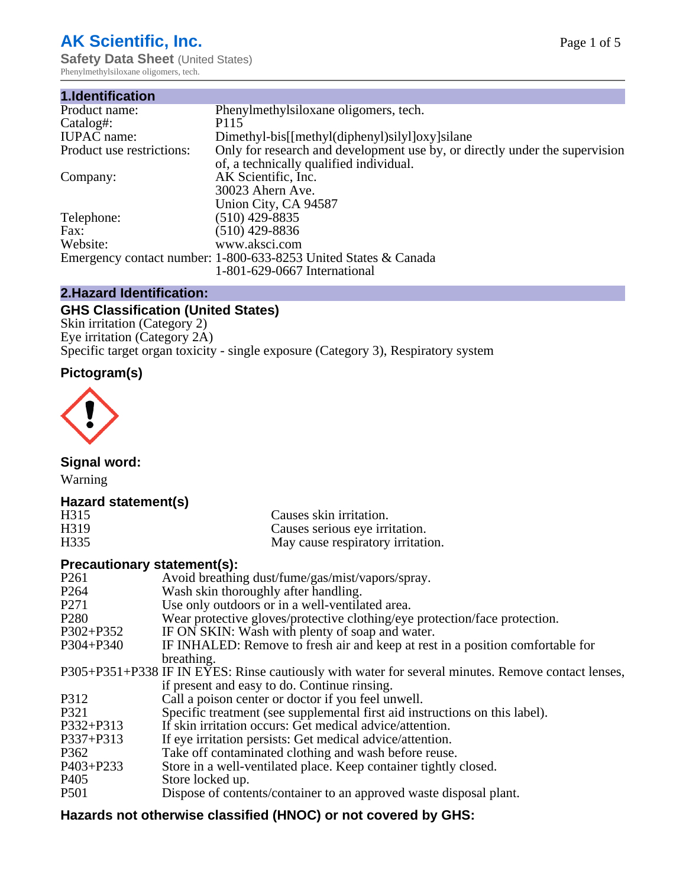# **AK Scientific, Inc.**

**Safety Data Sheet (United States)** Phenylmethylsiloxane oligomers, tech.

| 1.Identification          |                                                                             |
|---------------------------|-----------------------------------------------------------------------------|
| Product name:             | Phenylmethylsiloxane oligomers, tech.                                       |
| Catalog#:                 | P115                                                                        |
| <b>IUPAC</b> name:        | Dimethyl-bis[[methyl(diphenyl)silyl]oxy]silane                              |
| Product use restrictions: | Only for research and development use by, or directly under the supervision |
|                           | of, a technically qualified individual.                                     |
| Company:                  | AK Scientific, Inc.                                                         |
|                           | 30023 Ahern Ave.                                                            |
|                           | Union City, CA 94587                                                        |
| Telephone:                | $(510)$ 429-8835                                                            |
| Fax:                      | $(510)$ 429-8836                                                            |
| Website:                  | www.aksci.com                                                               |
|                           | Emergency contact number: 1-800-633-8253 United States & Canada             |
|                           | 1-801-629-0667 International                                                |

# **2.Hazard Identification:**

# **GHS Classification (United States)**

Skin irritation (Category 2) Eye irritation (Category 2A) Specific target organ toxicity - single exposure (Category 3), Respiratory system

# **Pictogram(s)**



**Signal word:**

Warning

# **Hazard statement(s)**

| H315 | Causes skin irritation.           |
|------|-----------------------------------|
| H319 | Causes serious eye irritation.    |
| H335 | May cause respiratory irritation. |

# **Precautionary statement(s):**

| P <sub>261</sub> | Avoid breathing dust/fume/gas/mist/vapors/spray.                                                   |
|------------------|----------------------------------------------------------------------------------------------------|
| P <sub>264</sub> | Wash skin thoroughly after handling.                                                               |
| P <sub>271</sub> | Use only outdoors or in a well-ventilated area.                                                    |
| P <sub>280</sub> | Wear protective gloves/protective clothing/eye protection/face protection.                         |
| P302+P352        | IF ON SKIN: Wash with plenty of soap and water.                                                    |
| $P304 + P340$    | IF INHALED: Remove to fresh air and keep at rest in a position comfortable for                     |
|                  | breathing.                                                                                         |
|                  | P305+P351+P338 IF IN EYES: Rinse cautiously with water for several minutes. Remove contact lenses, |
|                  | if present and easy to do. Continue rinsing.                                                       |
| P312             | Call a poison center or doctor if you feel unwell.                                                 |
| P321             | Specific treatment (see supplemental first aid instructions on this label).                        |
| P332+P313        | If skin irritation occurs: Get medical advice/attention.                                           |
| P337+P313        | If eye irritation persists: Get medical advice/attention.                                          |
| P362             | Take off contaminated clothing and wash before reuse.                                              |
| P403+P233        | Store in a well-ventilated place. Keep container tightly closed.                                   |
| P <sub>405</sub> | Store locked up.                                                                                   |
| P <sub>501</sub> | Dispose of contents/container to an approved waste disposal plant.                                 |
|                  |                                                                                                    |

# **Hazards not otherwise classified (HNOC) or not covered by GHS:**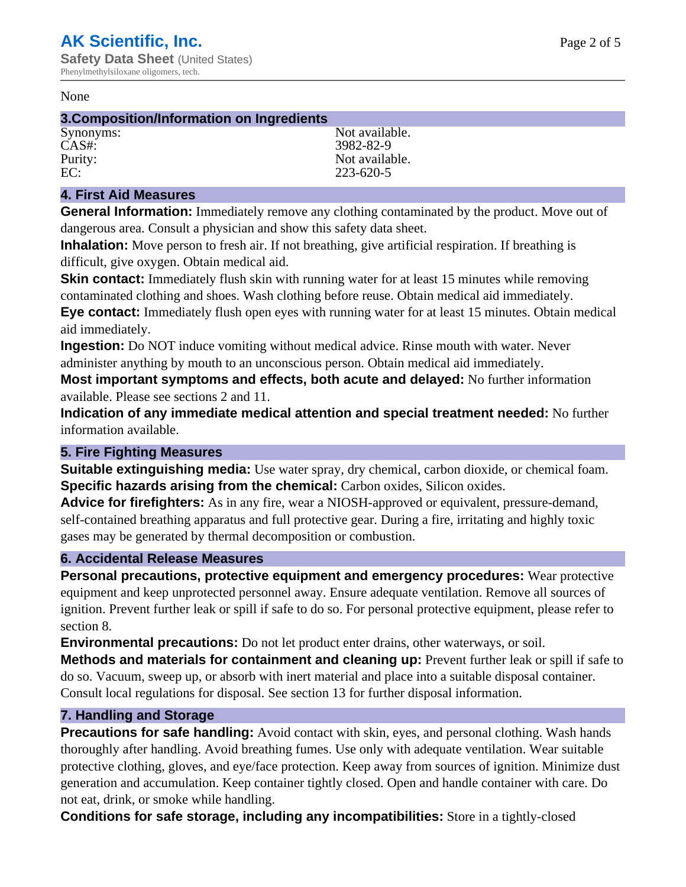#### None

## **3.Composition/Information on Ingredients**

CAS#: 3982-82-9

Synonyms: Not available. Purity: Not available.<br>EC: 223-620-5 223-620-5

# **4. First Aid Measures**

**General Information:** Immediately remove any clothing contaminated by the product. Move out of dangerous area. Consult a physician and show this safety data sheet.

**Inhalation:** Move person to fresh air. If not breathing, give artificial respiration. If breathing is difficult, give oxygen. Obtain medical aid.

**Skin contact:** Immediately flush skin with running water for at least 15 minutes while removing contaminated clothing and shoes. Wash clothing before reuse. Obtain medical aid immediately. **Eye contact:** Immediately flush open eyes with running water for at least 15 minutes. Obtain medical aid immediately.

**Ingestion:** Do NOT induce vomiting without medical advice. Rinse mouth with water. Never administer anything by mouth to an unconscious person. Obtain medical aid immediately.

**Most important symptoms and effects, both acute and delayed:** No further information available. Please see sections 2 and 11.

**Indication of any immediate medical attention and special treatment needed:** No further information available.

# **5. Fire Fighting Measures**

**Suitable extinguishing media:** Use water spray, dry chemical, carbon dioxide, or chemical foam. **Specific hazards arising from the chemical:** Carbon oxides, Silicon oxides.

**Advice for firefighters:** As in any fire, wear a NIOSH-approved or equivalent, pressure-demand, self-contained breathing apparatus and full protective gear. During a fire, irritating and highly toxic gases may be generated by thermal decomposition or combustion.

# **6. Accidental Release Measures**

**Personal precautions, protective equipment and emergency procedures:** Wear protective equipment and keep unprotected personnel away. Ensure adequate ventilation. Remove all sources of ignition. Prevent further leak or spill if safe to do so. For personal protective equipment, please refer to section 8.

**Environmental precautions:** Do not let product enter drains, other waterways, or soil.

**Methods and materials for containment and cleaning up:** Prevent further leak or spill if safe to do so. Vacuum, sweep up, or absorb with inert material and place into a suitable disposal container. Consult local regulations for disposal. See section 13 for further disposal information.

# **7. Handling and Storage**

**Precautions for safe handling:** Avoid contact with skin, eyes, and personal clothing. Wash hands thoroughly after handling. Avoid breathing fumes. Use only with adequate ventilation. Wear suitable protective clothing, gloves, and eye/face protection. Keep away from sources of ignition. Minimize dust generation and accumulation. Keep container tightly closed. Open and handle container with care. Do not eat, drink, or smoke while handling.

**Conditions for safe storage, including any incompatibilities:** Store in a tightly-closed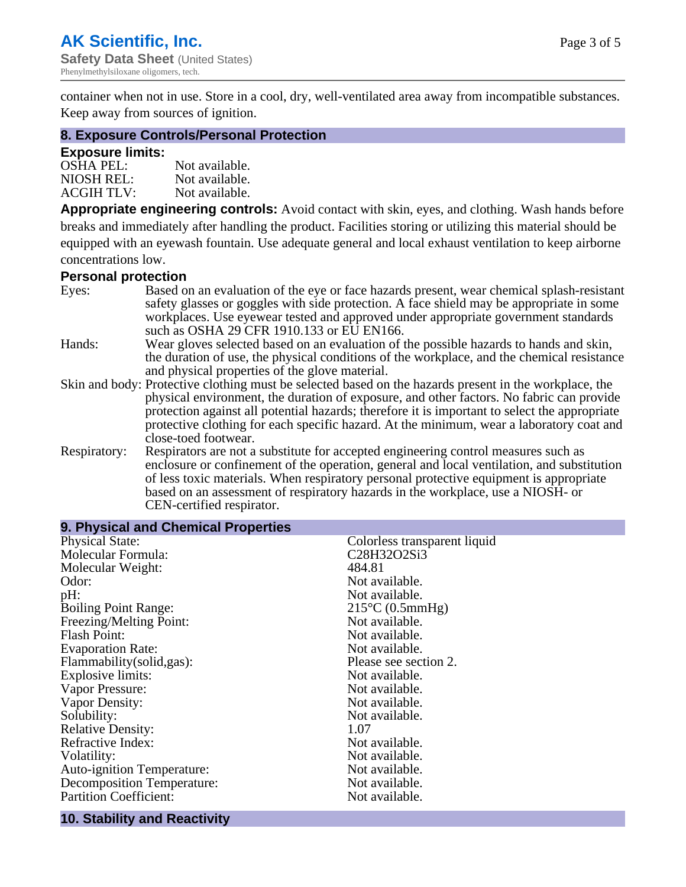container when not in use. Store in a cool, dry, well-ventilated area away from incompatible substances. Keep away from sources of ignition.

## **8. Exposure Controls/Personal Protection**

## **Exposure limits:**

| <b>OSHA PEL:</b>  | Not available. |
|-------------------|----------------|
| NIOSH REL:        | Not available. |
| <b>ACGIH TLV:</b> | Not available. |

**Appropriate engineering controls:** Avoid contact with skin, eyes, and clothing. Wash hands before breaks and immediately after handling the product. Facilities storing or utilizing this material should be equipped with an eyewash fountain. Use adequate general and local exhaust ventilation to keep airborne concentrations low.

## **Personal protection**

| Eyes:        | Based on an evaluation of the eye or face hazards present, wear chemical splash-resistant<br>safety glasses or goggles with side protection. A face shield may be appropriate in some |
|--------------|---------------------------------------------------------------------------------------------------------------------------------------------------------------------------------------|
|              | workplaces. Use eyewear tested and approved under appropriate government standards<br>such as OSHA 29 CFR 1910.133 or EU EN166.                                                       |
| Hands:       | Wear gloves selected based on an evaluation of the possible hazards to hands and skin,                                                                                                |
|              | the duration of use, the physical conditions of the workplace, and the chemical resistance                                                                                            |
|              | and physical properties of the glove material.                                                                                                                                        |
|              | Skin and body: Protective clothing must be selected based on the hazards present in the workplace, the                                                                                |
|              | physical environment, the duration of exposure, and other factors. No fabric can provide                                                                                              |
|              | protection against all potential hazards; therefore it is important to select the appropriate                                                                                         |
|              | protective clothing for each specific hazard. At the minimum, wear a laboratory coat and                                                                                              |
|              | close-toed footwear.                                                                                                                                                                  |
| Respiratory: | Respirators are not a substitute for accepted engineering control measures such as<br>enclosure or confinement of the operation, general and local ventilation, and substitution      |
|              | of less toxic materials. When respiratory personal protective equipment is appropriate                                                                                                |
|              | based on an assessment of respiratory hazards in the workplace, use a NIOSH- or                                                                                                       |
|              | CEN-certified respirator.                                                                                                                                                             |

| Colorless transparent liquid |
|------------------------------|
| C28H32O2Si3                  |
| 484.81                       |
| Not available.               |
| Not available.               |
| $215^{\circ}$ C (0.5mmHg)    |
| Not available.               |
| Not available.               |
| Not available.               |
| Please see section 2.        |
| Not available.               |
| Not available.               |
| Not available.               |
| Not available.               |
| 1.07                         |
| Not available.               |
| Not available.               |
| Not available.               |
| Not available.               |
| Not available.               |
|                              |

#### **10. Stability and Reactivity**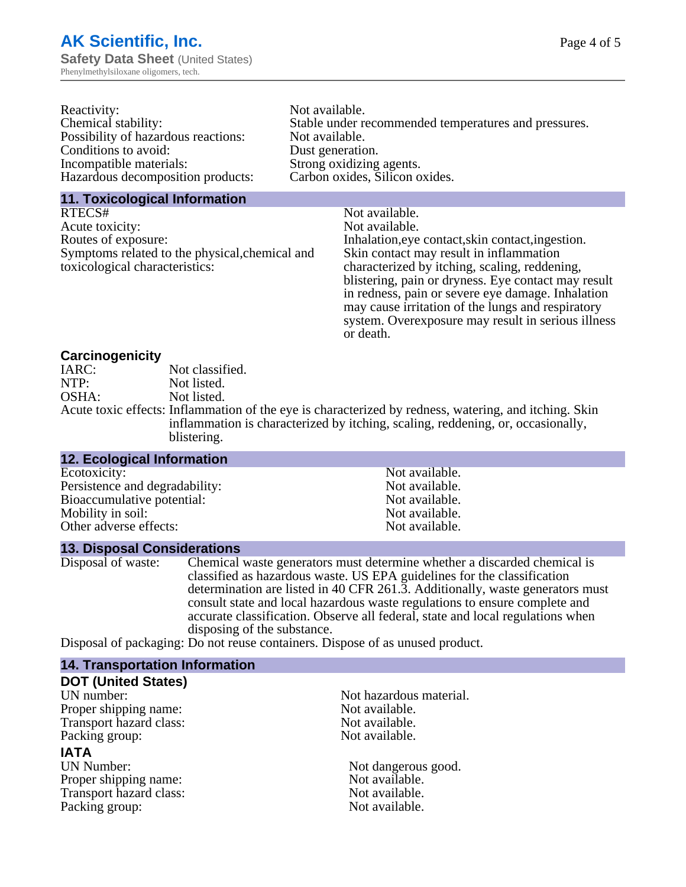| Reactivity:                         | Not available.                                       |
|-------------------------------------|------------------------------------------------------|
| Chemical stability:                 | Stable under recommended temperatures and pressures. |
| Possibility of hazardous reactions: | Not available.                                       |
| Conditions to avoid:                | Dust generation.                                     |
| Incompatible materials:             | Strong oxidizing agents.                             |
| Hazardous decomposition products:   | Carbon oxides, Silicon oxides.                       |
|                                     |                                                      |

## **11. Toxicological Information**

| RTECS#                                         | Not available.                                      |
|------------------------------------------------|-----------------------------------------------------|
| Acute toxicity:                                | Not available.                                      |
| Routes of exposure:                            | Inhalation, eye contact, skin contact, ingestion.   |
| Symptoms related to the physical, chemical and | Skin contact may result in inflammation             |
| toxicological characteristics:                 | characterized by itching, scaling, reddening,       |
|                                                | blistering, pain or dryness. Eye contact may result |
|                                                | in redness, pain or severe eye damage. Inhalation   |
|                                                | may cause irritation of the lungs and respiratory   |
|                                                | system. Overexposure may result in serious illness  |

or death.

## **Carcinogenicity**

| IARC: | Not classified.                                                                                                                                                                        |
|-------|----------------------------------------------------------------------------------------------------------------------------------------------------------------------------------------|
| NTP:  | Not listed.                                                                                                                                                                            |
| OSHA: | Not listed.                                                                                                                                                                            |
|       | Acute toxic effects: Inflammation of the eye is characterized by redness, watering, and itching. Sk<br>inflammation is characterized by itching, scaling, reddening, or, occasionally, |
|       | blistering.                                                                                                                                                                            |

| <b>12. Ecological Information</b> |                |  |
|-----------------------------------|----------------|--|
| Ecotoxicity:                      | Not available. |  |
| Persistence and degradability:    | Not available. |  |
| Bioaccumulative potential:        | Not available. |  |
| Mobility in soil:                 | Not available. |  |
| Other adverse effects:            | Not available. |  |
|                                   |                |  |

## **13. Disposal Considerations**

Disposal of waste: Chemical waste generators must determine whether a discarded chemical is classified as hazardous waste. US EPA guidelines for the classification determination are listed in 40 CFR 261.3. Additionally, waste generators must consult state and local hazardous waste regulations to ensure complete and accurate classification. Observe all federal, state and local regulations when disposing of the substance.

Disposal of packaging: Do not reuse containers. Dispose of as unused product.

| <b>14. Transportation Information</b> |                         |
|---------------------------------------|-------------------------|
| <b>DOT (United States)</b>            |                         |
| UN number:                            | Not hazardous material. |
| Proper shipping name:                 | Not available.          |
| Transport hazard class:               | Not available.          |
| Packing group:                        | Not available.          |
| <b>IATA</b>                           |                         |
| UN Number:                            | Not dangerous good.     |
| Proper shipping name:                 | Not available.          |
| Transport hazard class:               | Not available.          |
| Packing group:                        | Not available.          |
|                                       |                         |